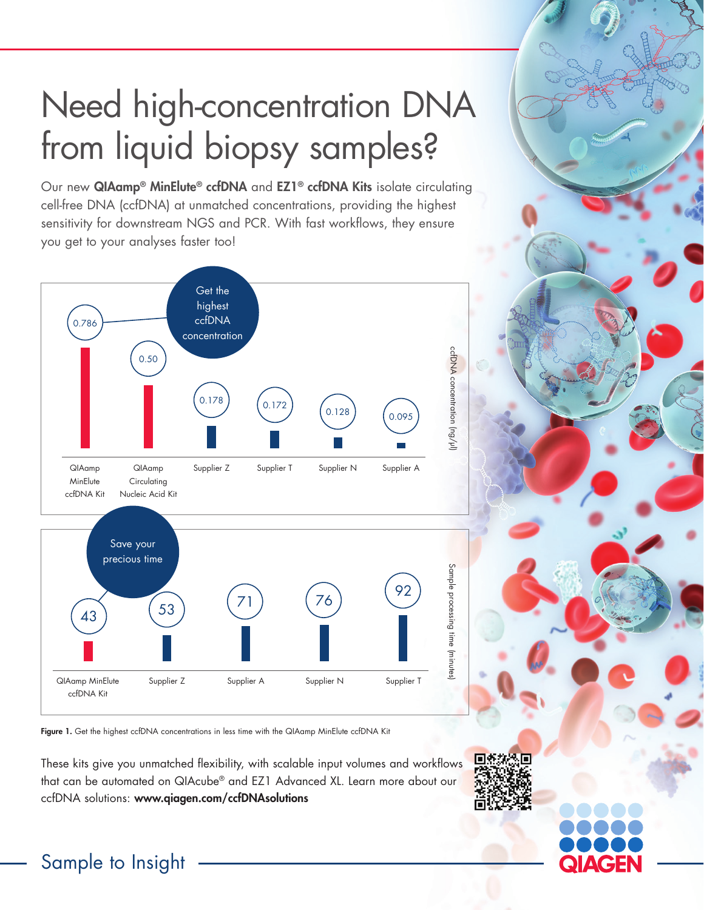# Need high-concentration DNA from liquid biopsy samples?

Our new QIAamp® MinElute® ccfDNA and EZ1® ccfDNA Kits isolate circulating cell-free DNA (ccfDNA) at unmatched concentrations, providing the highest sensitivity for downstream NGS and PCR. With fast workflows, they ensure you get to your analyses faster too!



Figure 1. Get the highest ccfDNA concentrations in less time with the QIAamp MinElute ccfDNA Kit

These kits give you unmatched flexibility, with scalable input volumes and workflows that can be automated on QIAcube® and EZ1 Advanced XL. Learn more about our ccfDNA solutions: www.qiagen.com/ccfDNAsolutions



### Sample to Insight